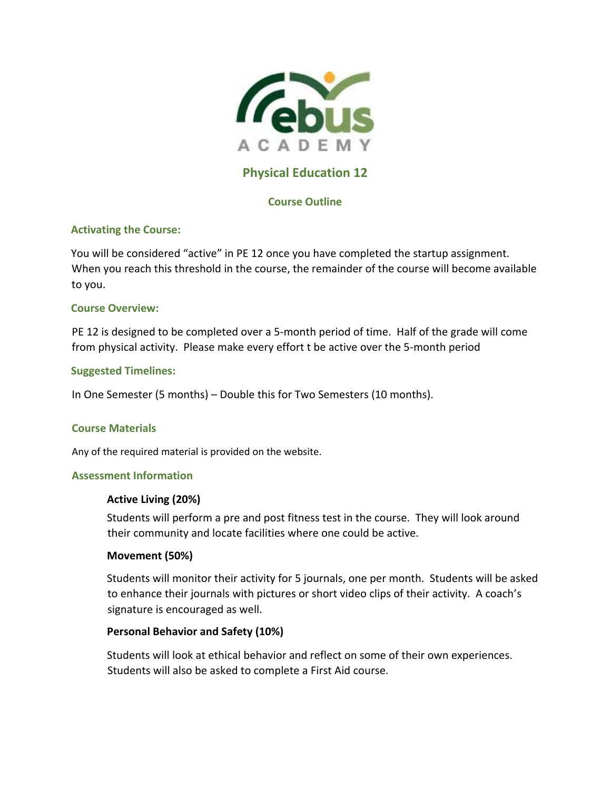

# **Physical Education 12**

# **Course Outline**

# **Activating the Course:**

You will be considered "active" in PE 12 once you have completed the startup assignment. When you reach this threshold in the course, the remainder of the course will become available to you.

### **Course Overview:**

PE 12 is designed to be completed over a 5-month period of time. Half of the grade will come from physical activity. Please make every effort t be active over the 5-month period

### **Suggested Timelines:**

In One Semester (5 months) – Double this for Two Semesters (10 months).

### **Course Materials**

Any of the required material is provided on the website.

#### **Assessment Information**

### **Active Living (20%)**

Students will perform a pre and post fitness test in the course. They will look around their community and locate facilities where one could be active.

### **Movement (50%)**

Students will monitor their activity for 5 journals, one per month. Students will be asked to enhance their journals with pictures or short video clips of their activity. A coach's signature is encouraged as well.

### **Personal Behavior and Safety (10%)**

Students will look at ethical behavior and reflect on some of their own experiences. Students will also be asked to complete a First Aid course.